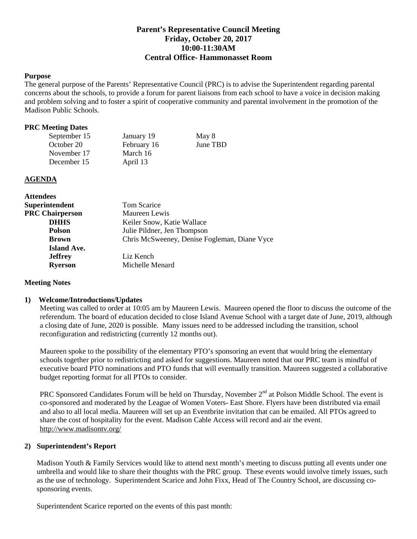# **Parent's Representative Council Meeting Friday, October 20, 2017 10:00-11:30AM Central Office- Hammonasset Room**

# **Purpose**

The general purpose of the Parents' Representative Council (PRC) is to advise the Superintendent regarding parental concerns about the schools, to provide a forum for parent liaisons from each school to have a voice in decision making and problem solving and to foster a spirit of cooperative community and parental involvement in the promotion of the Madison Public Schools.

### **PRC Meeting Dates**

| September 15 | January 19  | May 8    |
|--------------|-------------|----------|
| October 20   | February 16 | June TBD |
| November 17  | March 16    |          |
| December 15  | April 13    |          |

### **AGENDA**

| <b>Attendees</b>       |                                              |  |
|------------------------|----------------------------------------------|--|
| Superintendent         | Tom Scarice                                  |  |
| <b>PRC Chairperson</b> | Maureen Lewis                                |  |
| <b>DHHS</b>            | Keiler Snow, Katie Wallace                   |  |
| <b>Polson</b>          | Julie Pildner, Jen Thompson                  |  |
| <b>Brown</b>           | Chris McSweeney, Denise Fogleman, Diane Vyce |  |
| <b>Island Ave.</b>     |                                              |  |
| <b>Jeffrey</b>         | Liz Kench                                    |  |
| <b>Ryerson</b>         | Michelle Menard                              |  |
|                        |                                              |  |

### **Meeting Notes**

#### **1) Welcome/Introductions/Updates**

Meeting was called to order at 10:05 am by Maureen Lewis. Maureen opened the floor to discuss the outcome of the referendum. The board of education decided to close Island Avenue School with a target date of June, 2019, although a closing date of June, 2020 is possible. Many issues need to be addressed including the transition, school reconfiguration and redistricting (currently 12 months out).

Maureen spoke to the possibility of the elementary PTO's sponsoring an event that would bring the elementary schools together prior to redistricting and asked for suggestions. Maureen noted that our PRC team is mindful of executive board PTO nominations and PTO funds that will eventually transition. Maureen suggested a collaborative budget reporting format for all PTOs to consider.

PRC Sponsored Candidates Forum will be held on Thursday, November 2<sup>nd</sup> at Polson Middle School. The event is co-sponsored and moderated by the League of Women Voters- East Shore. Flyers have been distributed via email and also to all local media. Maureen will set up an Eventbrite invitation that can be emailed. All PTOs agreed to share the cost of hospitality for the event. Madison Cable Access will record and air the event. <http://www.madisontv.org/>

# **2) Superintendent's Report**

Madison Youth & Family Services would like to attend next month's meeting to discuss putting all events under one umbrella and would like to share their thoughts with the PRC group. These events would involve timely issues, such as the use of technology. Superintendent Scarice and John Fixx, Head of The Country School, are discussing cosponsoring events.

Superintendent Scarice reported on the events of this past month: